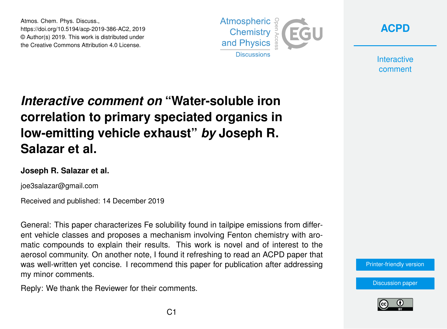Atmos. Chem. Phys. Discuss., https://doi.org/10.5194/acp-2019-386-AC2, 2019 © Author(s) 2019. This work is distributed under the Creative Commons Attribution 4.0 License.





**Interactive** comment

## *Interactive comment on* **"Water-soluble iron correlation to primary speciated organics in low-emitting vehicle exhaust"** *by* **Joseph R. Salazar et al.**

## **Joseph R. Salazar et al.**

joe3salazar@gmail.com

Received and published: 14 December 2019

General: This paper characterizes Fe solubility found in tailpipe emissions from different vehicle classes and proposes a mechanism involving Fenton chemistry with aromatic compounds to explain their results. This work is novel and of interest to the aerosol community. On another note, I found it refreshing to read an ACPD paper that was well-written yet concise. I recommend this paper for publication after addressing my minor comments.

Reply: We thank the Reviewer for their comments.



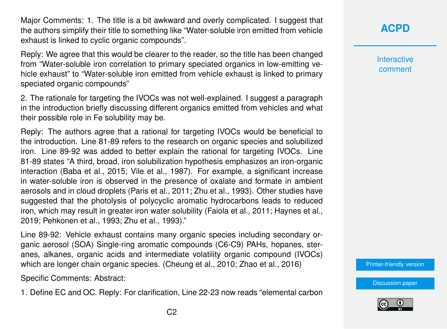Major Comments: 1. The title is a bit awkward and overly complicated. I suggest that the authors simplify their title to something like "Water-soluble iron emitted from vehicle exhaust is linked to cyclic organic compounds".

Reply: We agree that this would be clearer to the reader, so the title has been changed from "Water-soluble iron correlation to primary speciated organics in low-emitting vehicle exhaust" to "Water-soluble iron emitted from vehicle exhaust is linked to primary speciated organic compounds"

2. The rationale for targeting the IVOCs was not well-explained. I suggest a paragraph in the introduction briefly discussing different organics emitted from vehicles and what their possible role in Fe solubility may be.

Reply: The authors agree that a rational for targeting IVOCs would be beneficial to the introduction. Line 81-89 refers to the research on organic species and solubilized iron. Line 89-92 was added to better explain the rational for targeting IVOCs. Line 81-89 states "A third, broad, iron solubilization hypothesis emphasizes an iron-organic interaction (Baba et al., 2015; Vile et al., 1987). For example, a significant increase in water-soluble iron is observed in the presence of oxalate and formate in ambient aerosols and in cloud droplets (Paris et al., 2011; Zhu et al., 1993). Other studies have suggested that the photolysis of polycyclic aromatic hydrocarbons leads to reduced iron, which may result in greater iron water solubility (Faiola et al., 2011; Haynes et al., 2019; Pehkonen et al., 1993; Zhu et al., 1993)."

Line 89-92: Vehicle exhaust contains many organic species including secondary organic aerosol (SOA) Single-ring aromatic compounds (C6-C9) PAHs, hopanes, steranes, alkanes, organic acids and intermediate volatility organic compound (IVOCs) which are longer chain organic species. (Cheung et al., 2010; Zhao et al., 2016)

Specific Comments: Abstract:

1. Define EC and OC. Reply: For clarification, Line 22-23 now reads "elemental carbon

Interactive comment

[Printer-friendly version](https://www.atmos-chem-phys-discuss.net/acp-2019-386/acp-2019-386-AC2-print.pdf)

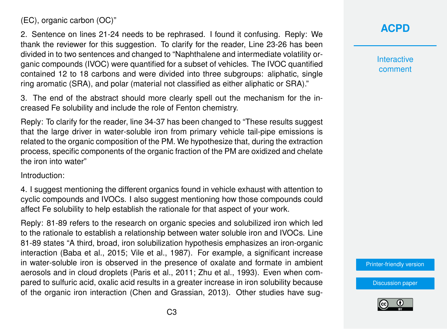(EC), organic carbon (OC)"

2. Sentence on lines 21-24 needs to be rephrased. I found it confusing. Reply: We thank the reviewer for this suggestion. To clarify for the reader, Line 23-26 has been divided in to two sentences and changed to "Naphthalene and intermediate volatility organic compounds (IVOC) were quantified for a subset of vehicles. The IVOC quantified contained 12 to 18 carbons and were divided into three subgroups: aliphatic, single ring aromatic (SRA), and polar (material not classified as either aliphatic or SRA)."

3. The end of the abstract should more clearly spell out the mechanism for the increased Fe solubility and include the role of Fenton chemistry.

Reply: To clarify for the reader, line 34-37 has been changed to "These results suggest that the large driver in water-soluble iron from primary vehicle tail-pipe emissions is related to the organic composition of the PM. We hypothesize that, during the extraction process, specific components of the organic fraction of the PM are oxidized and chelate the iron into water"

Introduction:

4. I suggest mentioning the different organics found in vehicle exhaust with attention to cyclic compounds and IVOCs. I also suggest mentioning how those compounds could affect Fe solubility to help establish the rationale for that aspect of your work.

Reply: 81-89 refers to the research on organic species and solubilized iron which led to the rationale to establish a relationship between water soluble iron and IVOCs. Line 81-89 states "A third, broad, iron solubilization hypothesis emphasizes an iron-organic interaction (Baba et al., 2015; Vile et al., 1987). For example, a significant increase in water-soluble iron is observed in the presence of oxalate and formate in ambient aerosols and in cloud droplets (Paris et al., 2011; Zhu et al., 1993). Even when compared to sulfuric acid, oxalic acid results in a greater increase in iron solubility because of the organic iron interaction (Chen and Grassian, 2013). Other studies have sug**[ACPD](https://www.atmos-chem-phys-discuss.net/)**

**Interactive** comment

[Printer-friendly version](https://www.atmos-chem-phys-discuss.net/acp-2019-386/acp-2019-386-AC2-print.pdf)

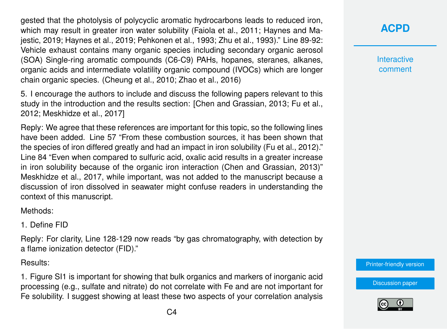gested that the photolysis of polycyclic aromatic hydrocarbons leads to reduced iron, which may result in greater iron water solubility (Faiola et al., 2011; Haynes and Majestic, 2019; Haynes et al., 2019; Pehkonen et al., 1993; Zhu et al., 1993)." Line 89-92: Vehicle exhaust contains many organic species including secondary organic aerosol (SOA) Single-ring aromatic compounds (C6-C9) PAHs, hopanes, steranes, alkanes, organic acids and intermediate volatility organic compound (IVOCs) which are longer chain organic species. (Cheung et al., 2010; Zhao et al., 2016)

5. I encourage the authors to include and discuss the following papers relevant to this study in the introduction and the results section: [Chen and Grassian, 2013; Fu et al., 2012; Meskhidze et al., 2017]

Reply: We agree that these references are important for this topic, so the following lines have been added. Line 57 "From these combustion sources, it has been shown that the species of iron differed greatly and had an impact in iron solubility (Fu et al., 2012)." Line 84 "Even when compared to sulfuric acid, oxalic acid results in a greater increase in iron solubility because of the organic iron interaction (Chen and Grassian, 2013)" Meskhidze et al., 2017, while important, was not added to the manuscript because a discussion of iron dissolved in seawater might confuse readers in understanding the context of this manuscript.

Methods:

1. Define FID

Reply: For clarity, Line 128-129 now reads "by gas chromatography, with detection by a flame ionization detector (FID)."

Results:

1. Figure SI1 is important for showing that bulk organics and markers of inorganic acid processing (e.g., sulfate and nitrate) do not correlate with Fe and are not important for Fe solubility. I suggest showing at least these two aspects of your correlation analysis **[ACPD](https://www.atmos-chem-phys-discuss.net/)**

**Interactive** comment

[Printer-friendly version](https://www.atmos-chem-phys-discuss.net/acp-2019-386/acp-2019-386-AC2-print.pdf)

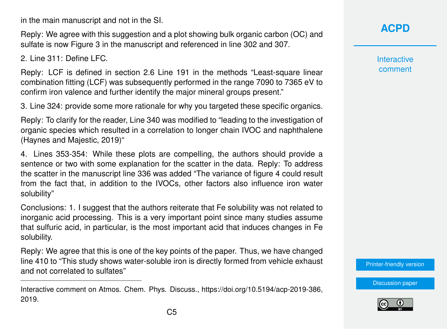in the main manuscript and not in the SI.

Reply: We agree with this suggestion and a plot showing bulk organic carbon (OC) and sulfate is now Figure 3 in the manuscript and referenced in line 302 and 307.

2. Line 311: Define LFC.

Reply: LCF is defined in section 2.6 Line 191 in the methods "Least-square linear combination fitting (LCF) was subsequently performed in the range 7090 to 7365 eV to confirm iron valence and further identify the major mineral groups present."

3. Line 324: provide some more rationale for why you targeted these specific organics.

Reply: To clarify for the reader, Line 340 was modified to "leading to the investigation of organic species which resulted in a correlation to longer chain IVOC and naphthalene (Haynes and Majestic, 2019)"

4. Lines 353-354: While these plots are compelling, the authors should provide a sentence or two with some explanation for the scatter in the data. Reply: To address the scatter in the manuscript line 336 was added "The variance of figure 4 could result from the fact that, in addition to the IVOCs, other factors also influence iron water solubility"

Conclusions: 1. I suggest that the authors reiterate that Fe solubility was not related to inorganic acid processing. This is a very important point since many studies assume that sulfuric acid, in particular, is the most important acid that induces changes in Fe solubility.

Reply: We agree that this is one of the key points of the paper. Thus, we have changed line 410 to "This study shows water-soluble iron is directly formed from vehicle exhaust and not correlated to sulfates"

## **[ACPD](https://www.atmos-chem-phys-discuss.net/)**

**Interactive** comment

[Printer-friendly version](https://www.atmos-chem-phys-discuss.net/acp-2019-386/acp-2019-386-AC2-print.pdf)



Interactive comment on Atmos. Chem. Phys. Discuss., https://doi.org/10.5194/acp-2019-386, 2019.